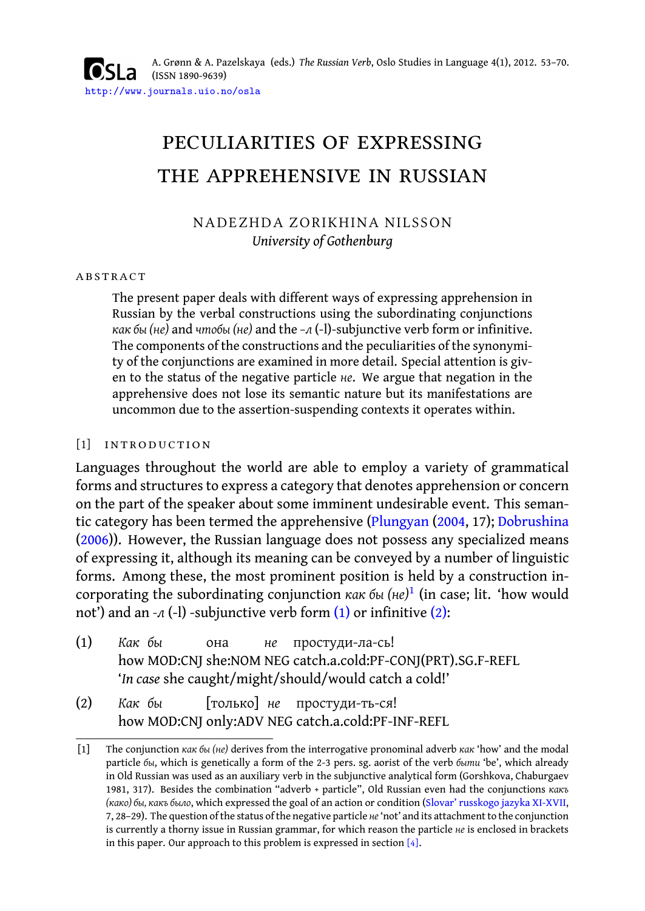A. Grønn & A. Pazelskaya (eds.) *The Russian Verb*, Oslo Studies in Language 4(1), 2012. 53–70. (ISSN 1890-9639) http://www.journals.uio.no/osla

# peculiarities of expressing the apprehensive in russian

# NADEZHDA ZORIKHINA NILSSON *University of Gothenburg*

### **ABSTRACT**

The present paper deals with different ways of expressing apprehension in Russian by the verbal constructions using the subordinating conjunctions *как бы (не)* and *чтобы (не)* and the *–л* (-l)-subjunctive verb form or infinitive. The components of the constructions and the peculiarities of the synonymity of the conjunctions are examined in more detail. Special attention is given to the status of the negative particle *не*. [We argue th](#page-17-0)a[t neg](#page-17-0)ation [in the](#page-16-0) apprehensive does not lose its semantic nature but its manifestations are uncommon due to the assertion-suspending contexts it operates within.

### [1] INTRODUCTION

<span id="page-0-1"></span><span id="page-0-0"></span>Languages throughout the world are abl[e to](#page-0-0) employ a [vari](#page-0-1)ety of grammatical forms and structures to express a category that denotes apprehension or concern on the part of the speaker about some imminent undesirable event. This semantic category has been termed the apprehensive (Plungyan (2004, 17); Dobrushina (2006)). However, the Russian language does not possess any specialized means of expressing it, although its meaning can be conveyed by a number of linguistic forms. Among these, the most prominent position is held by a construction incorporating the subordinating conjunction *как бы (не)*<sup>1</sup> (in case; lit. 'how would not') and an -л (-l) -subjunctive verb form (1) or infinitive (2):

- (1) *Как бы* how MOD:CNJ she:NOM NEG catch.a.cold:PF-CONJ([PRT\).SG.F-REFL](#page-17-1) она *не* простуди-ла-сь! '*In case* she caught/might/should/would catch a cold!'
- (2) *Как бы* how MOD:CNJ only:ADV NEG catch.a.cold:PF-INF-REFL [только] *не* простуди-ть-ся!

<sup>[1]</sup> The conjunction *как бы (не)* derives from the interrogative pronominal adverb *как* 'how' and the modal particle *бы*, which is genetically a form of the 2-3 pers. sg. aorist of the verb *быти* 'be', which already in Old Russian was used as an auxiliary verb in the subjunctive analytical form (Gorshkova, Chaburgaev 1981, 317). Besides the combination "adverb + particle", Old Russian even had the conjunctions *какъ (како) бы, какъ было*, which expressed the goal of an action or condition (Slovar' russkogo jazyka XI-XVII, 7, 28–29). The question of the status of the negative particle *не*'not' and its attachment to the conjunction is currently a thorny issue in Russian grammar, for which reason the particle *не* is enclosed in brackets in this paper. Our approach to this problem is expressed in section [4].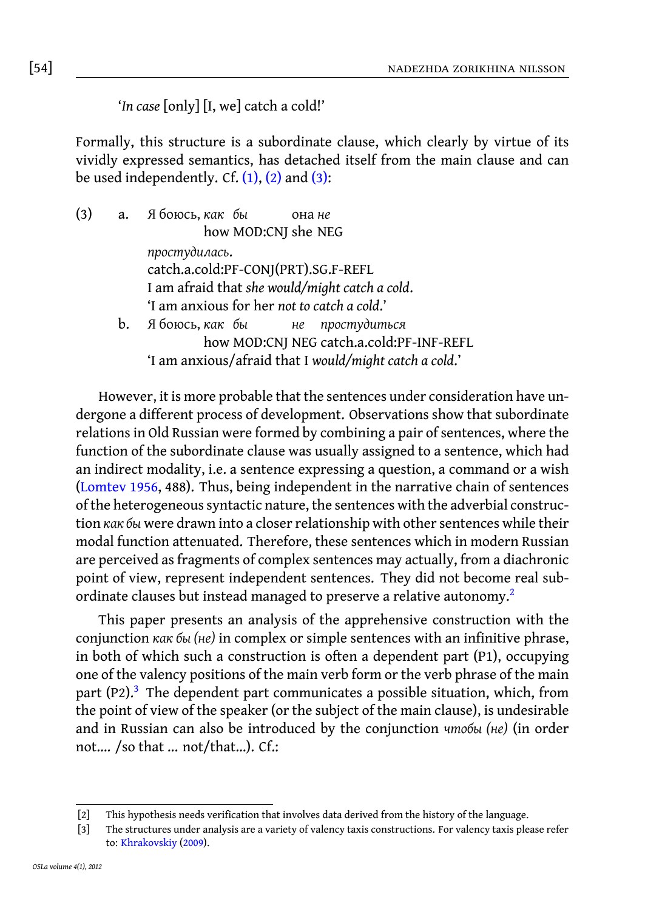# [54] nadezhda zorikhina nilsson

'*In case* [only] [I, we] catch a cold!'

Formally, this structure is a subordinate clause, which clearly by virtue of its vividly expressed semantics, has detached itself from the main clause and can be used independently. Cf.  $(1)$ ,  $(2)$  and  $(3)$ :

(3) a. Я боюсь, *как бы* how MOD:CNJ she NEG она *не простудилась*. catch.a.cold:PF-CONJ(PRT).SG.F-REFL I am afraid that *she would/might catch a cold*. 'I am anxious for her *not to catch a cold*.' [b](#page-16-1). [Я](#page-16-1) боюсь, *как бы* how MOD:CNJ NEG catch.a.cold:PF-INF-REFL *не простудиться* 'I am anxious/afraid that I *would/might catch a cold*.'

However, it is more probable that the sentences under consideration have undergone a different process of development. Observations show that subordinate relations in Old Russian were formed by combining a pair of sentences, where the function of the subordinate clause was usually assigned to a sentence, [w](#page-1-0)hich had an indirect modality, i.e. a sentence expressing a question, a command or a wish (Lomtev 1956, 488). Thus, being independent in the narrative chain of sentences of the heterogeneous syntactic nature, the sentences with the adverbial construction *как бы* were drawn into a closer relationship with other sentences while their modal fu[nc](#page-1-1)tion attenuated. Therefore, these sentences which in modern Russian are perceived as fragments of complex sentences may actually, from a diachronic point of view, represent independent sentences. They did not become real subordinate clauses but instead managed to preserve a relative autonomy.<sup>2</sup>

<span id="page-1-2"></span><span id="page-1-1"></span><span id="page-1-0"></span>This paper presents an analysis of the apprehensive construction with the conjunction *как бы (не)* in complex or simple sentences with an infinitive phrase, in both of which such a construction is often a dependent part (P1), occupying one of the valency positions of the main verb form or the verb phrase of the main part  $(P2)$ .<sup>3</sup> [The depen](#page-16-2)dent part communicates a possible situation, which, from the point of view of the speaker (or the subject of the main clause), is undesirable and in Russian can also be introduced by the conjunction *чтобы (не)* (in order not…. /so that ... not/that…). Cf.:

<sup>[2]</sup> This hypothesis needs verification that involves data derived from the history of the language.

<sup>[3]</sup> The structures under analysis are a variety of valency taxis constructions. For valency taxis please refer to: Khrakovskiy (2009).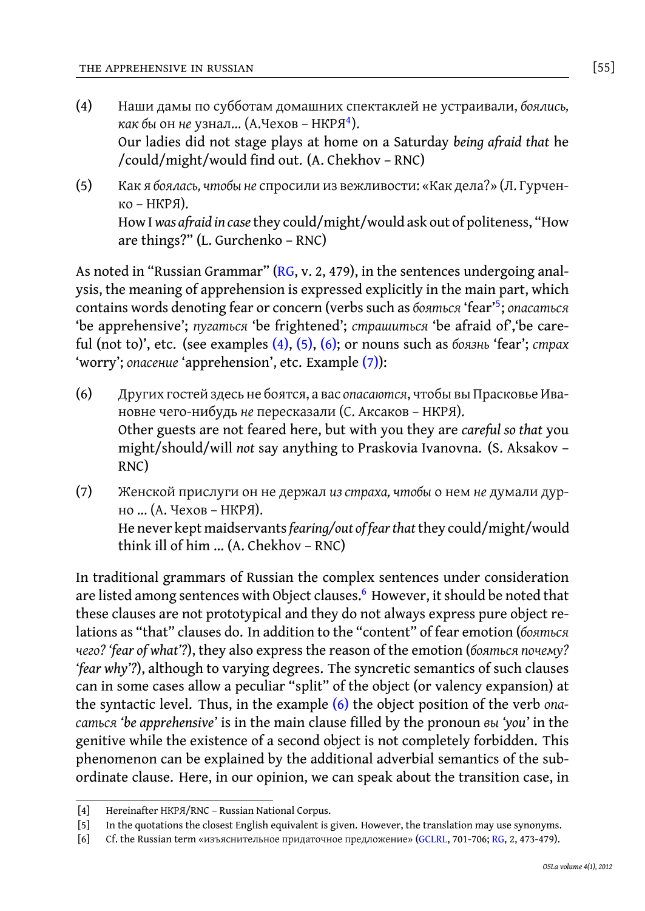- <span id="page-2-1"></span>(4) Наши дамы по субботам домашних спектаклей не устраивали, *боялись, как бы* он *не* узнал... (А.Че[хов](#page-17-2) – НКРЯ<sup>4</sup> ). Our ladies did not stage plays at home on a Saturday *being a[fr](#page-2-0)aid that* he /could/might/would find out. (A. Chekhov – RNC)
- <span id="page-2-2"></span>(5) Как я *боялась, чтобы не* с[прос](#page-1-2)[или](#page-2-1) [из](#page-2-2) вежливости: «Как дела?» (Л. Гурченко – НКРЯ). How I*was afraid in case* they could/might[/wo](#page-2-3)uld ask out of politeness, "How are things?" (L. Gurchenko – RNC)

<span id="page-2-3"></span>As noted in "Russian Grammar" ( $RG$ , v. 2, 479), in the sentences undergoing analysis, the meaning of apprehension is expressed explicitly in the main part, which contains words denoting fear or concern (verbs such as *бояться* 'fear'<sup>5</sup> ; *опасаться* 'be apprehensive'; *пугаться* 'be frightened'; *страшиться* 'be afraid of','be careful (not to)', etc. (see examples (4), (5), (6); or nouns such as *боязнь* 'fear'; *страх* 'worry'; *опасение* 'apprehension', etc. Example (7)):

- (6) Других гостей здесь не боятся, а вас *опасаются*, чтобы вы Прасковье Ивановне чего-нибудь *не* пересказали (С. Аксаков – НКРЯ). Other guests are not feared here, but with you they are *careful so that* you might/should/will *not* say anything to [Pr](#page-2-4)askovia Ivanovna. (S. Aksakov – RNC)
- (7) Женской прислуги он не держал *из страха, чтобы* о нем *не* думали дурно ... (А. Чехов – НКРЯ). He never kept maidservants*fearing/out of fear that*they could/might/would think ill of him … (A. Chekhov – RN[C\)](#page-2-2)

<span id="page-2-4"></span><span id="page-2-0"></span>In traditional grammars of Russian the complex sentences under consideration are listed among sentences with Object clauses.<sup>6</sup> However, it should be noted that these clauses are not prototypical and they do not always express pure object relations as "that" clauses do. In addition to the "content" of fear emotion (*бояться чего? 'fear of what'?*), they also express the reason of the emotion (*бояться почему? 'fear why'?*), although to varying degrees. The syncretic semantics of such clauses can in some cases allow a peculiar "split" of the object([or va](#page-16-3)lency [exp](#page-17-2)ansion) at the syntactic level. Thus, in the example (6) the object position of the verb *опасаться 'be apprehensive'* is in the main clause filled by the pronoun *вы 'you'* in the genitive while the existence of a second object is not completely forbidden. This phenomenon can be explained by the additional adverbial semantics of the subordinate clause. Here, in our opinion, we can speak about the transition case, in

<sup>[4]</sup> Hereinafter НКРЯ/RNC – Russian National Corpus.

<sup>[5]</sup> In the quotations the closest English equivalent is given. However, the translation may use synonyms.

<sup>[6]</sup> Cf. the Russian term «изъяснительное придаточное предложение» (GCLRL, 701-706; RG, 2, 473-479).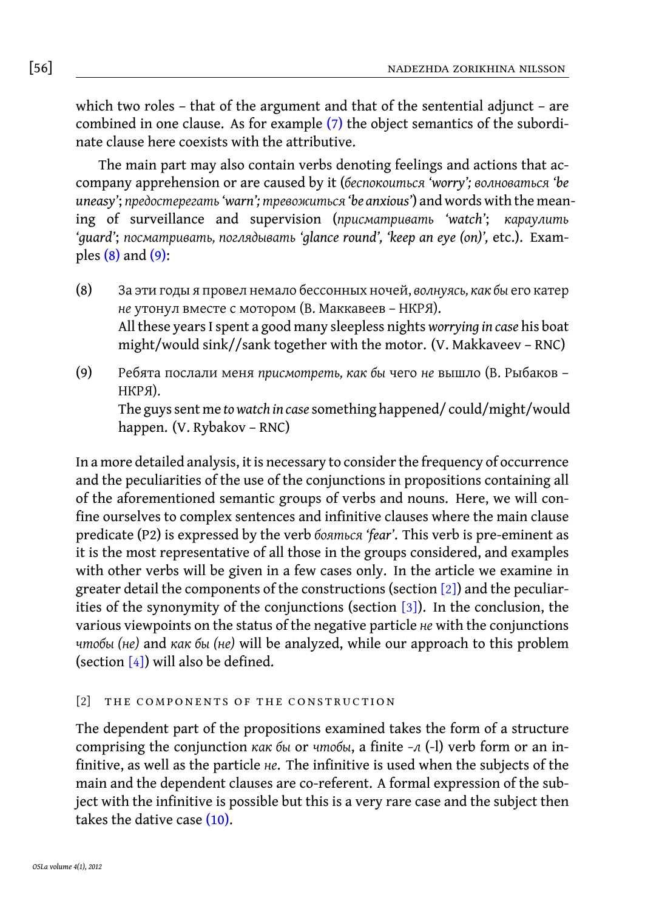[56] nadezhda zorikhina nilsson

<span id="page-3-0"></span>whi[ch t](#page-3-0)wo [role](#page-3-1)s – that of the argument and that of the sentential adjunct – are combined in one clause. As for example (7) the object semantics of the subordinate clause here coexists with the attributive.

<span id="page-3-1"></span>The main part may also contain verbs denoting feelings and actions that accompany apprehension or are caused by it (*беспокоиться 'worry'; волноваться 'be uneasy'*; *предостерегать'warn'; тревожиться 'be anxious'*) and words with the meaning of surveillance and supervision (*присматривать 'watch'*; *караулить 'guard'*; *посматривать, поглядывать 'glance round', 'keep an eye (on)',* etc.). Examples (8) and (9):

- (8) За эти годы я провел немало бессонных ночей, *волнуясь, как бы* его катер *не* утонул вместе с мотором (В. Маккавеев – НКРЯ). All these years I spent a good many sleepless nights *worrying in case* his boat might/would sink//sank together with the motor. (V. Makkaveev – RNC)
- (9) Ребята послали меня *присмотреть, как бы* чего *не* вышло (В. Рыбаков НКРЯ).

The guys sent me *to watch in case* something happened/ could/might/would happen. (V. Rybakov – RNC)

In a more detailed analysis, it is necessary to consider [the](#page-5-0) frequency of occurrence and the peculiarities of the use of the conjunctions in propositions containing all of the aforementioned semantic groups of verbs and nouns. Here, we will confine our[selv](#page-7-0)es to complex sentences and infinitive clauses where the main clause predicate (P2) is expressed by the verb *бояться 'fear'*. This verb is pre-eminent as it is the most representative of all those in the groups considered, and examples with other verbs will be given in a few cases only. In the article we examine in greater detail the components of the constructions (section [2]) and the peculiarities of the synonymity of the conjunctions (section [3]). In the conclusion, the various viewpoints on the status of the negative particle *не* with the conjunctions *чтобы (не)* and *как бы (не)* will be analyzed, while our approach to this problem (section  $[4]$ ) will also [be d](#page-3-2)efined.

# <span id="page-3-2"></span>[2] THE COMPONENTS OF THE CONSTRUCTION

The dependent part of the propositions examined takes the form of a structure comprising the conjunction *как бы* or *чтобы*, a finite *–л* (-l) verb form or an infinitive, as well as the particle *не*. The infinitive is used when the subjects of the main and the dependent clauses are co-referent. A formal expression of the subject with the infinitive is possible but this is a very rare case and the subject then takes the dative case (10).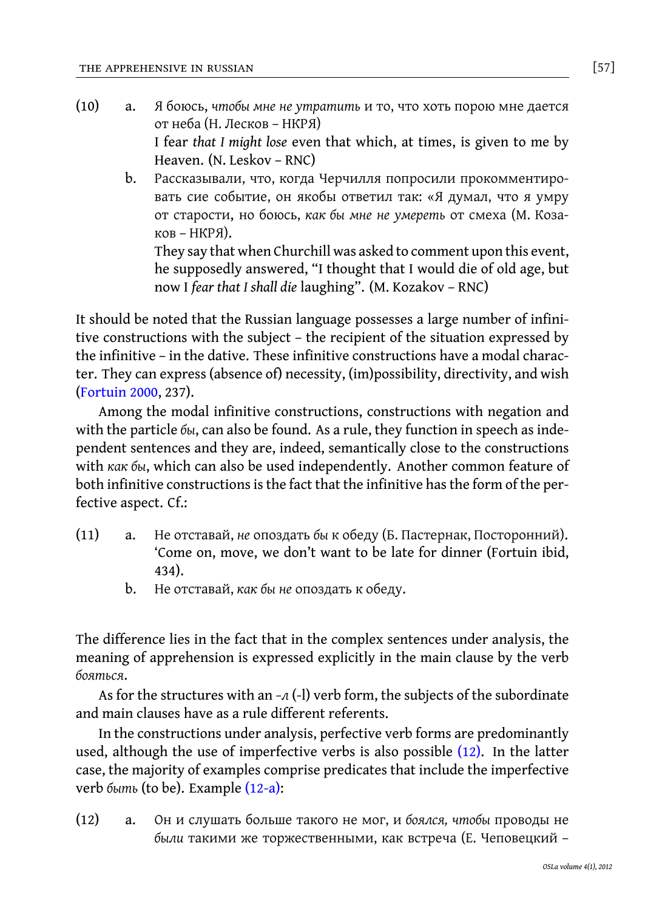(10) a. Я боюсь, *чтобы мне не утратить* и то, что хоть порою мне дается от неба (Н. Лесков – НКРЯ) I fear *that I might lose* even that which, at times, is given to me by Heaven. (N. Leskov – RNC)

b. Рассказывали, что, когда Черчилля попросили прокомментировать сие событие, он якобы ответил так: «Я думал, что я умру от старости, но боюсь, *как бы мне не умереть* от смеха (М. Козаков – НКРЯ).

[T](#page-16-4)hey say that when Churchill was asked to comment upon this event, he supposedly answered, "I thought that I would die of old age, but now I *fear that I shall die* laughing". (M. Kozakov – RNC)

It should be noted that the Russian language possesses a large number of infinitive constructions with the subject – the recipient of the situation expressed by the infinitive – in the dative. These infinitive constructions have a modal character. They can express (absence of) necessity, (im)possibility, directivity, and wish (Fortuin 2000, 237).

Among the modal infinitive constructions, constructions with negation and with the particle *бы*, can also be found. As a rule, they function in speech as independent sentences and they are, indeed, semantically close to the constructions with *как бы*, which can also be used independently. Another common feature of both infinitive constructions is the fact that the infinitive has the form of the perfective aspect. Cf.:

- (11) a. Не отставай, *не* опоздать *бы* к обеду (Б. Пастернак, Посторонний). 'Come on, move, we don't want to be late for dinner (Fortuin ibid, 434).
	- b. Не отставай, *как бы не* опоздать к обеду.

The difference lies in the f[act tha](#page-4-0)t in the complex sentences under analysis, the meaning of apprehension is expressed explicitly in the main clause by the verb *бояться*.

<span id="page-4-0"></span>As for the structures with an *–л* (-l) verb form, the subjects of the subordinate and main clauses have as a rule different referents.

In the constructions under analysis, perfective verb forms are predominantly used, although the use of imperfective verbs is also possible (12). In the latter case, the majority of examples comprise predicates that include the imperfective verb *быть* (to be). Example (12-a):

(12) a. Он и слушать больше такого не мог, и *боялся, чтобы* проводы не *были* такими же торжественными, как встреча (Е. Чеповецкий –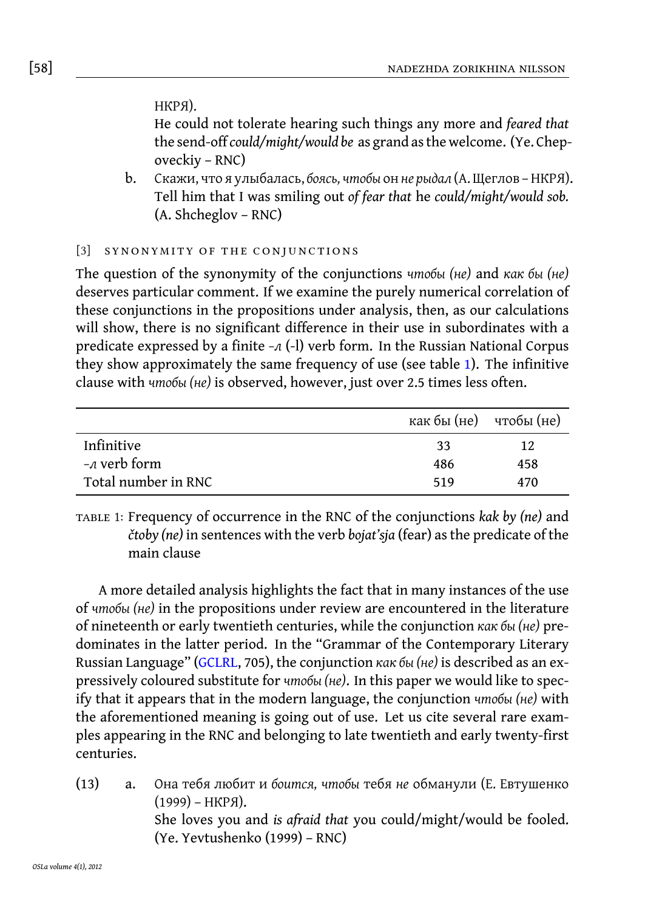# <span id="page-5-0"></span>[58] nadezhda zorikhina nilsson

### НКРЯ).

He could not tolerate hearing such things any more and *feared that* the send-off *could/might/would be* as grand as the welcome. (Ye. Chepoveckiy – RNC)

b. Скажи, что я улыбалась, *боясь, чтобы* он *не рыдал* (А. Щеглов – НКРЯ). Tell him that I was smiling out *of fear that* he *could/might/would sob.* (A. Shcheglov – RNC)

### [3] SYNONYMITY OF THE CONJUNCTIONS

The question of the synonymity of the conjunctions *чтобы (не)* and *как бы (не)* deserves particular comment. If we examine the purely numerical correlation of these conjunctions in the propositions under analysis, then, as our calculations will show, there is no significant difference in their use in subordinates with a predicate expressed by a finite *–л* (-l) verb form. In the Russian National Corpus they show approximately the same frequency of use (see table 1). The infinitive clause with *чтобы (не)* is observed, however, just over 2.5 times less often.

|                     | как бы (не) чтобы (не) |     |
|---------------------|------------------------|-----|
| Infinitive          | 33                     | 12  |
| $\neg$ verb form    | 486                    | 458 |
| Total number in RNC | 519                    | 470 |

table 1: Frequency [of occu](#page-16-3)rrence in the RNC of the conjunctions *kak by (ne)* and *čtoby (ne)* in sentences with the verb *bojat'sja* (fear) as the predicate of the main clause

A more detailed analysis highlights the fact that in many instances of the use of *чтобы (не)* in the propositions under review are encountered in the literature of nineteenth or early twentieth centuries, while the conjunction *как бы (не)* predominates in the latter period. In the "Grammar of the Contemporary Literary Russian Language" (GCLRL, 705), the conjunction *как бы (не)* is described as an expressively coloured substitute for *чтобы (не)*. In this paper we would like to specify that it appears that in the modern language, the conjunction *чтобы (не)* with the aforementioned meaning is going out of use. Let us cite several rare examples appearing in the RNC and belonging to late twentieth and early twenty-first centuries.

(13) a. Она тебя любит и *боится, чтобы* тебя *не* обманули (Е. Евтушенко (1999) – НКРЯ).

She loves you and *is afraid that* you could/might/would be fooled. (Ye. Yevtushenko (1999) – RNC)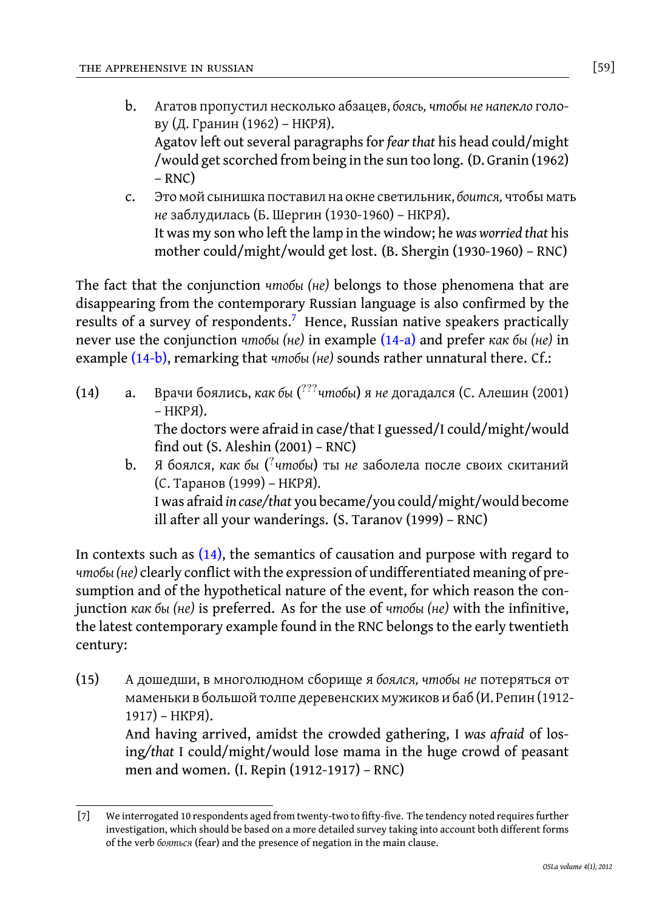- b. Агатов пропустил несколько абзацев, *боясь, чтобы не напекло* голову (Д. Гранин (1962) – НКРЯ). Agatov left out several paragraphs for *fear that* his head could/might /would get scorched fr[o](#page-6-0)m being in the sun too long. (D. Granin (1962)  $– RNC)$
- <span id="page-6-3"></span>c. Это мой сынишка поставил на окне [светил](#page-6-1)ьник, *боится,* чтобы мать *[не](#page-6-2)* заблудилась (Б. Шергин (1930-1960) – НКРЯ). It was my son who left the lamp in the window; he *was worried that* his mother could/might/would get lost. (B. Shergin (1930-1960) – RNC)

<span id="page-6-2"></span><span id="page-6-1"></span>The fact that the conjunction *чтобы (не)* belongs to those phenomena that are disappearing from the contemporary Russian language is also confirmed by the results of a survey of respondents.<sup>7</sup> Hence, Russian native speakers practically never use the conjunction *чтобы (не)* in example (14-a) and prefer *как бы (не)* in example (14-b), remarking that *чтобы (не)* sounds rather unnatural there. Cf.:

- (14) a. Врачи [боял](#page-6-3)ись, *как бы* ( ???*чтобы*) я *не* догадался (С. Алешин (2001) – НКРЯ). The doctors were afraid in case/that I guessed/I could/might/would find out (S. Aleshin (2001) – RNC)
	- b. Я боялся, *как бы* ( ? *чтобы*) ты *не* заболела после своих скитаний (С. Таранов (1999) – НКРЯ). I was afraid *in case/that* you became/you could/might/would become ill after all your wanderings. (S. Taranov (1999) – RNC)

In contexts such as  $(14)$ , the semantics of causation and purpose with regard to *чтобы (не)* clearly conflict with the expression of undifferentiated meaning of presumption and of the hypothetical nature of the event, for which reason the conjunction *как бы (не)* is preferred. As for the use of *чтобы (не)* with the infinitive, the latest contemporary example found in the RNC belongs to the early twentieth century:

<span id="page-6-0"></span>(15) А дошедши, в многолюдном сборище я *боялся, чтобы не* потеряться от маменьки в большой толпе деревенских мужиков и баб (И. Репин (1912- 1917) – НКРЯ).

> And having arrived, amidst the crowded gathering, I *was afraid* of losing*/that* I could/might/would lose mama in the huge crowd of peasant men and women. (I. Repin (1912-1917) – RNC)

<sup>[7]</sup> We interrogated 10 respondents aged from twenty-two to fifty-five. The tendency noted requires further investigation, which should be based on a more detailed survey taking into account both different forms of the verb *бояться* (fear) and the presence of negation in the main clause.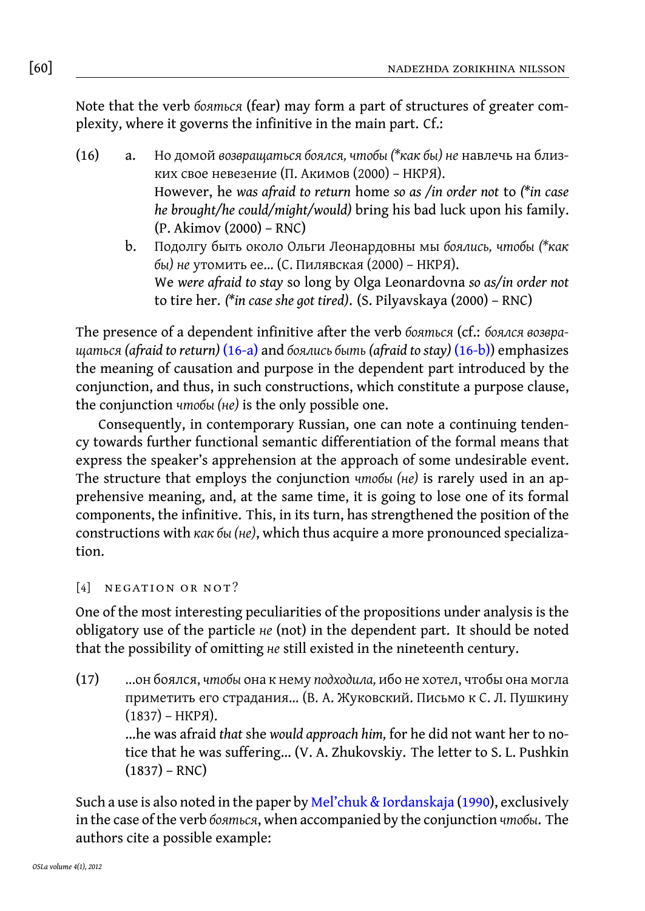<span id="page-7-2"></span><span id="page-7-1"></span>Note that the verb *бояться* (fear) may form a part of structures of greater complexity, where it governs the infinitive in the main part. Cf.:

- (16) a. Но домой *возвращаться боялся, чтобы (\*как бы) не* навлечь на близких свое невезение (П. Акимов (2000) – НКРЯ). However, he *was afraid to return* home *so as /in order not* to *(\*in case he brought/[he coul](#page-7-1)d/might/would)* bring his bad lu[ck upo](#page-7-2)n his family. (P. Akimov (2000) – RNC)
	- b. Подолгу быть около Ольги Леонардовны мы *боялись, чтобы (\*как бы) не* утомить ее... (С. Пилявская (2000) – НКРЯ). We *were afraid to stay* so long by Olga Leonardovna *so as/in order not* to tire her. *(\*in case she got tired)*. (S. Pilyavskaya (2000) – RNC)

The presence of a dependent infinitive after the verb *бояться* (cf.: *боялся возвращаться (afraid to return)* (16-a) and *боялись быть (afraid to stay)* (16-b)) emphasizes the meaning of causation and purpose in the dependent part introduced by the conjunction, and thus, in such constructions, which constitute a purpose clause, the conjunction *чтобы (не)* is the only possible one.

<span id="page-7-0"></span>Consequently, in contemporary Russian, one can note a continuing tendency towards further functional semantic differentiation of the formal means that express the speaker's apprehension at the approach of some undesirable event. The structure that employs the conjunction *чтобы (не)* is rarely used in an apprehensive meaning, and, at the same time, it is going to lose one of its formal components, the infinitive. This, in its turn, has strengthened the position of the constructions with *как бы (не)*, which thus acquire a more pronounced specialization.

# [4] NEGATION OR NOT?

One of the most interesting peculiarities of the propositions under analysis is the obligatory use of the particle *не* (not) in the dependent part. It should be noted that the possibility of omitting *не* still [existed in the nineteenth cent](#page-16-5)ury.

(17) ...он боялся, *чтобы* она к нему *подходила,* ибо не хотел, чтобы она могла приметить его страдания... (В. А. Жуковский. Письмо к С. Л. Пушкину (1837) – НКРЯ).

> …he was afraid *that* she *would approach him,* for he did not want her to notice that he was suffering… (V. A. Zhukovskiy. The letter to S. L. Pushkin  $(1837) - RNC)$

Such a use is also noted in the paper by Mel'chuk & Iordanskaja (1990), exclusively in the case of the verb *бояться*, when accompanied by the conjunction *чтобы*. The authors cite a possible example: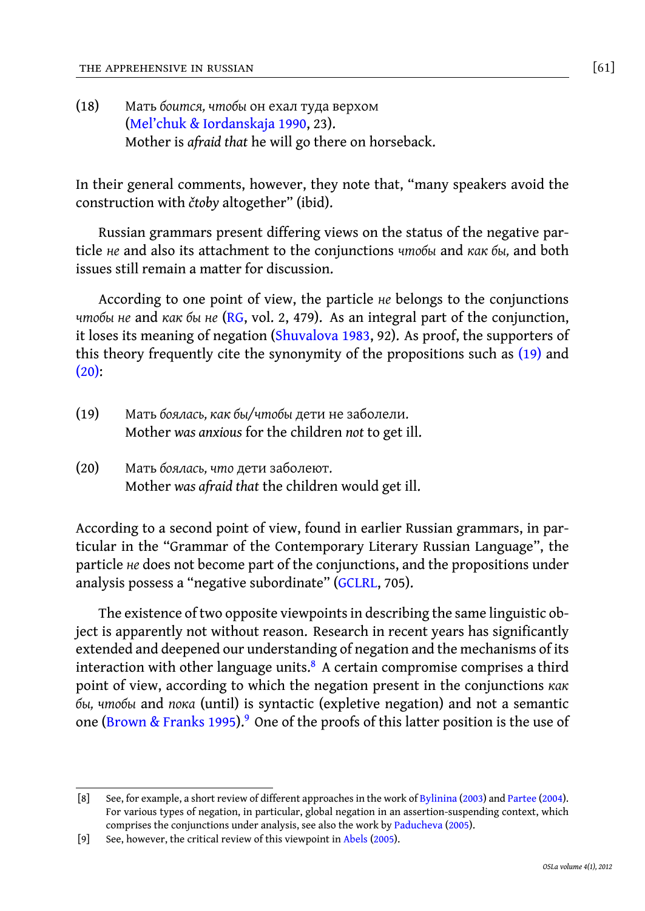(18) Мать *боится, чтобы* он ехал туда верхом (Mel'chuk & Iordanskaja 1990, 23). Mother is *afraid that* he will go there on horseback.

In their general comments, ho[wever, they note](#page-17-3) that, "many speakers avoid the construction with *čtoby* altogether" (ibid).

[R](#page-8-0)ussian grammars present differing views on the status of the negative particle *не* and also its attachment to the conjunctions *чтобы* and *как бы,* and both issues still remain a matter for discussion.

<span id="page-8-0"></span>According to one point of view, the particle *не* belongs to the conjunctions *чтобы не* and *как бы не* (RG, vol. 2, 479). As an integral part of the conjunction, it loses its meaning of negation (Shuvalova 1983, 92). As proof, the supporters of this theory frequently cite the synonymity of the propositions such as (19) and (20):

- (19) Мать *боялась, как бы/чтобы* дети не заболели. Mother *was anxious* for the children *[not](#page-16-3)* to get ill.
- (20) Мать *боялась, что* дети заболеют. Mother *was afraid that* the children would get ill.

According to a second point of view, found in earlier Russian grammars, in particular in the "Grammar of the Contemporary Literary Russian Language", the particle *не* does not b[ecom](#page-16-6)[e p](#page-8-1)art of the conjunctions, and the propositions under anal[ysis possess a "ne](#page-16-6)gative subordinate" (GCLRL, 705).

<span id="page-8-1"></span>The existence of two opposite viewpoints in describing the same linguistic object is apparently not without reason. Research in recent years has significantly extended and deepened our understanding of negation a[nd the mec](#page-16-7)ha[nisms of its](#page-16-8) interaction with other language units. $8$  A certain c[ompromise co](#page-16-9)mprises a third point of view, according to which the nega[tion pres](#page-15-0)ent in the conjunctions *как бы, чтобы* and *пока* (until) is syntactic (expletive negation) and not a semantic one (Brown & Franks 1995).<sup>9</sup> One of the proofs of this latter position is the use of

<sup>[8]</sup> See, for example, a short review of different approaches in the work of Bylinina (2003) and Partee (2004). For various types of negation, in particular, global negation in an assertion-suspending context, which comprises the conjunctions under analysis, see also the work by Paducheva (2005).

<sup>[9]</sup> See, however, the critical review of this viewpoint in Abels (2005).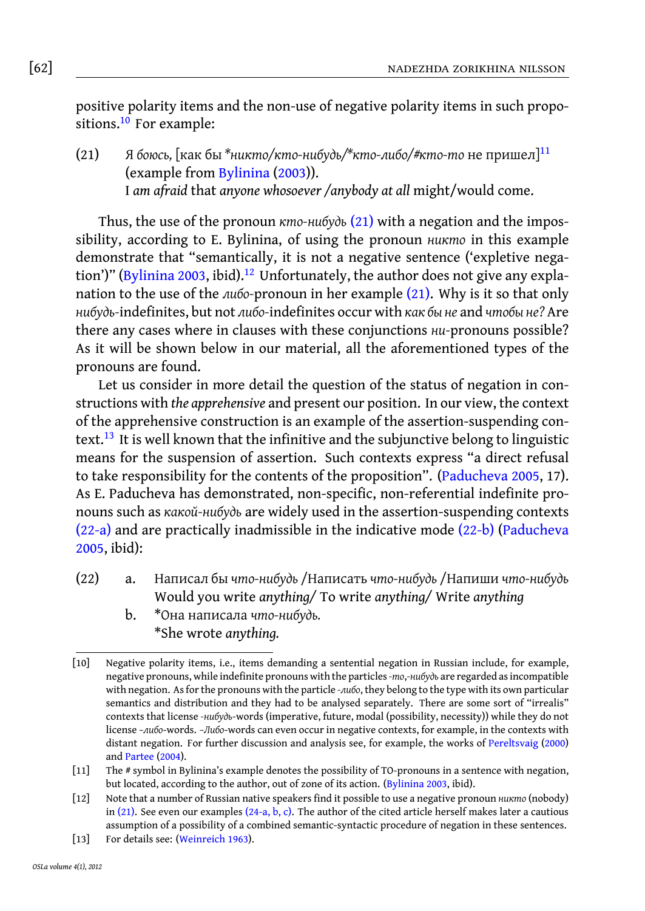# [62] nadezhda zorikhina nilsson

positive polarity items and the non-use of negative polarity items in such propo-sitions.<sup>10</sup> [For example](#page-16-7):

(21) Я *боюсь,* [как бы *\*никто/кто-нибудь/\*кто-либ[о/#кт](#page-9-0)о-то* не пришел]<sup>11</sup> (example from Bylinina (2003)). I *am afraid* that *anyone whosoever /anybody at all* might/would come.

Thus, the use of the pronoun *кто-нибудь* (21) with a negation and the impossibility, according to E. Bylinina, of using the pronoun *никто* in this example demonstrate that "semantically, it is not a negative sentence ('expletive negation')" (Bylinina 2003, ibid).<sup>12</sup> Unfortunately, the author does not give any explanati[on](#page-9-1) to the use of the *либо-*pronoun in her example (21). Why is it so that only *нибудь-*indefinites, but not *либо-*indefinites occur with *как бы не* and *чтобы не?* Are there any cases where in clauses with these conjunctions *ни-*[pronouns poss](#page-16-9)ible? As it will be shown below in our material, all the aforementioned types of the pronouns are found.

<span id="page-9-3"></span><span id="page-9-2"></span>[Le](#page-9-2)t us consider in more detail the question of the status [of nega](#page-9-3)t[ion in con](#page-16-9)[struc](#page-16-9)tions with *the apprehensive* and present our position. In our view, the context of the apprehensive construction is an example of the assertion-suspending context.<sup>13</sup> It is well known that the infinitive and the subjunctive belong to linguistic means for the suspension of assertion. Such contexts express "a direct refusal to take responsibility for the contents of the proposition". (Paducheva 2005, 17). As E. Paducheva has demonstrated, non-specific, non-referential indefinite pronouns such as *какой-нибудь* are widely used in the assertion-suspending contexts (22-a) and are practically inadmissible in the indicative mode (22-b) (Paducheva 2005, ibid):

- (22) a. Написал бы *что-нибудь* /Написать *что-нибудь* /Напиши *что-нибудь* Would you write *anything/* To write *anything/* Write *an[ything](#page-17-4)*
	- [b.](#page-16-8) \*[Она](#page-16-8) написала *что-нибудь.* \*She wrote *anything.*

<span id="page-9-0"></span>

<span id="page-9-1"></span><sup>[10]</sup> N[egativ](#page-9-0)e polarity items, i.e., i[tems d](#page-10-0)[em](#page-10-1)[a](#page-10-2)nding a sentential negation in Russian include, for example, negative pronouns, while indefinite pronouns with the particles*-то*,*-нибудь* are regarded as incompatible with negation. [As for the pronou](#page-17-5)ns with the particle *-либо*, they belong to the type with its own particular semantics and distribution and they had to be analysed separately. There are some sort of "irrealis" contexts that license *-нибудь*-words (imperative, future, modal (possibility, necessity)) while they do not license *–либо*-words. *–Либо*-words can even occur in negative contexts, for example, in the contexts with distant negation. For further discussion and analysis see, for example, the works of Pereltsvaig (2000) and Partee (2004).

<sup>[11]</sup> The # symbol in Bylinina's example denotes the possibility of TO-pronouns in a sentence with negation, but located, according to the author, out of zone of its action. (Bylinina 2003, ibid).

<sup>[12]</sup> Note that a number of Russian native speakers find it possible to use a negative pronoun *никто* (nobody) in (21). See even our examples (24-a, b, c). The author of the cited article herself makes later a cautious assumption of a possibility of a combined semantic-syntactic procedure of negation in these sentences.

<sup>[13]</sup> For details see: (Weinreich 1963).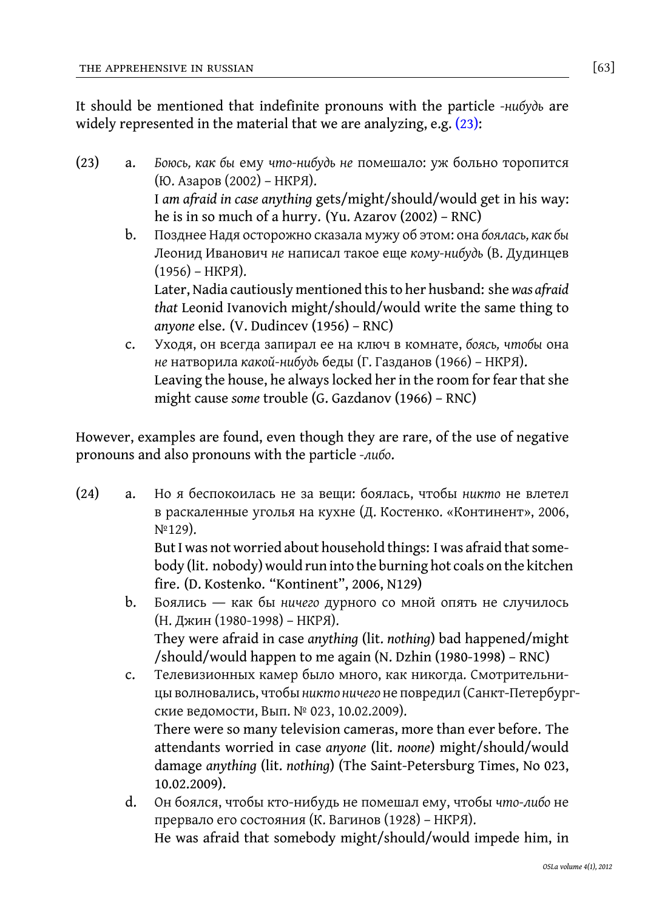It should be mentioned that indefinite pronouns with the particle *-нибудь* are widely represented in the material that we are analyzing, e.g. (23):

(23) a. *Боюсь, как бы* ему *что-нибудь не* помешало: уж больно торопится (Ю. Азаров (2002) – НКРЯ).

> I *am afraid in case anything* gets/might/should/would get in his way: he is in so much of a hurry. (Yu. Azarov (2002) – RNC)

b. Позднее Надя осторожно сказала мужу об этом: она *боялась, как бы* Леонид Иванович *не* написал такое еще *кому-нибудь* (В. Дудинцев (1956) – НКРЯ).

Later, Nadia cautiously mentioned this to her husband: she*was afraid that* Leonid Ivanovich might/should/would write the same thing to *anyone* else. (V. Dudincev (1956) – RNC)

<span id="page-10-0"></span>c. Уходя, он всегда запирал ее на ключ в комнате, *боясь, чтобы* она *не* натворила *какой-нибудь* беды (Г. Газданов (1966) – НКРЯ). Leaving the house, he always locked her in the room for fear that she might cause *some* trouble (G. Gazdanov (1966) – RNC)

<span id="page-10-1"></span>However, examples are found, even though they are rare, of the use of negative pronouns and also pronouns with the particle *-либо*.

<span id="page-10-2"></span>(24) a. Но я беспокоилась не за вещи: боялась, чтобы *никто* не влетел в раскаленные уголья на кухне (Д. Костенко. «Континент», 2006, №129).

But I was not worried about household things: I was afraid that somebody (lit. nobody) would run into the burning hot coals on the kitchen fire. (D. Kostenko. "Kontinent", 2006, N129)

- b. Боялись ― как бы *ничего* дурного со мной опять не случилось (Н. Джин (1980-1998) – НКРЯ). They were afraid in case *anything* (lit. *nothing*) bad happened/might /should/would happen to me again (N. Dzhin (1980-1998) – RNC)
- c. Телевизионных камер было много, как никогда. Смотрительницы волновались, чтобы*никто ничего* не повредил (Санкт-Петербургские ведомости, Вып. № 023, 10.02.2009). There were so many television cameras, more than ever before. The

attendants worried in case *anyone* (lit. *noone*) might/should/would damage *anything* (lit. *nothing*) (The Saint-Petersburg Times, No 023, 10.02.2009).

d. Он боялся, чтобы кто-нибудь не помешал ему, чтобы *что-либо* не прервало его состояния (К. Вагинов (1928) – НКРЯ). He was afraid that somebody might/should/would impede him, in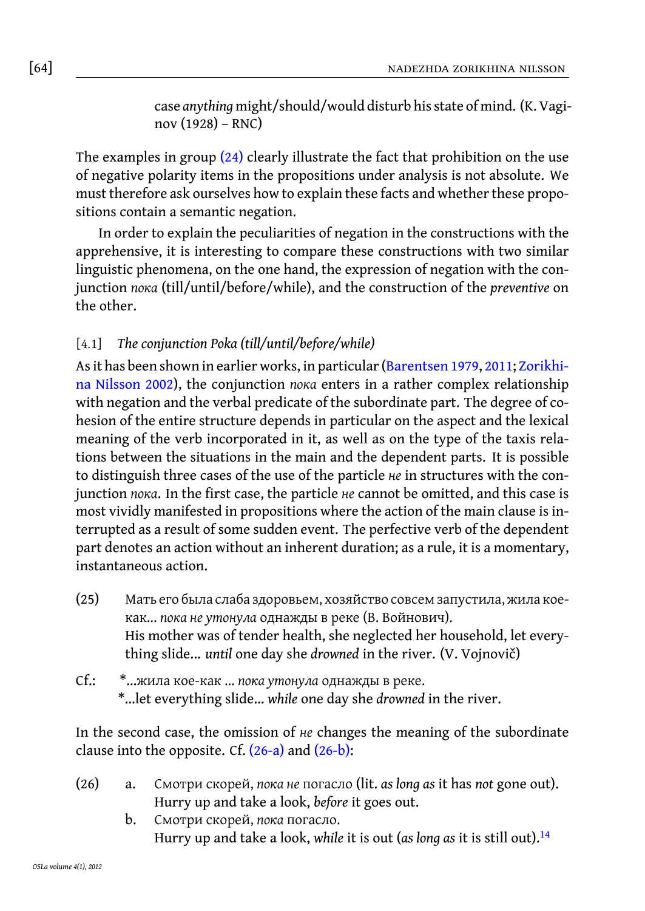[64] nadezhda zorikhina nilsson

case *anything* might/should/would disturb his state of mind. (K. Vaginov (1928) – RNC)

The examples in group  $(24)$  clearly illustrate the fact that prohibition on the use of negative polarity items in the propositions under analysis is not absolute. We must therefore ask ourselves how to explain these facts and whether these propositions contain a semantic negation.

[In order to e](#page-17-6)xplain the peculiarities of negation in the constructions with the apprehensive, it is interesting to compare these constructions with two similar linguistic phenomena, on the one hand, the expression of negation with the conjunction *пока* (till/until/before/while), and the construction of the *preventive* on the other.

# [4.1] *The conjunction Poka (till/until/before/while)*

<span id="page-11-2"></span>As it has been shown in earlier works, in particular (Barentsen 1979, 2011; Zorikhina Nilsson 2002), the conjunction *пока* enters in a rather complex relationship with negation and the verbal predicate of the subordinate part. The degree of cohesion of the entire structure depends in particular on the aspect and the lexical meaning of the verb incorporated in it, as well as on the type of the taxis relations between the situations in the main and the dependent parts. It is possible to distinguish three cases of the use of the particle *не* in structures with the conjunction *пока*. In the first case, the particle *не* cannot be omitted, and this case is most vividly manifested in propositions where the action of the main clause is interrupted as a result of some sudden event. The perfective verb of the dependent part denotes an action without an inherent duration; as a rule, it is a momentary, instantaneous action.

- <span id="page-11-3"></span><span id="page-11-0"></span>(25) Мать его была слаб[а здоро](#page-11-0)вье[м, хозя](#page-11-1)йство совсем запустила, жила коекак... *пока не утонула* однажды в реке (В. Войнович). His mother was of tender health, she neglected her household, let everything slide... *until* one day she *drowned* in the river. (V. Vojnovič)
- <span id="page-11-1"></span>Cf.: \*…жила кое-как ... *пока утонула* однажды в реке. \*…let everything slide… *while* one day she *drowned* in the river.

In the second case, the omission of *не* changes the meaning of the subordinate clause into the opposite. Cf.  $(26-a)$  and  $(26-b)$ :

- (26) a. Смотри скорей, *пока не* погасло (lit. *as long as* it has *not* gone out). Hurry up and take a look, *before* it goes out.
	- b. Смотри скорей, *пока* погасло. Hurry up and take a look, *while* it is out (*as long as* it is still out).<sup>14</sup>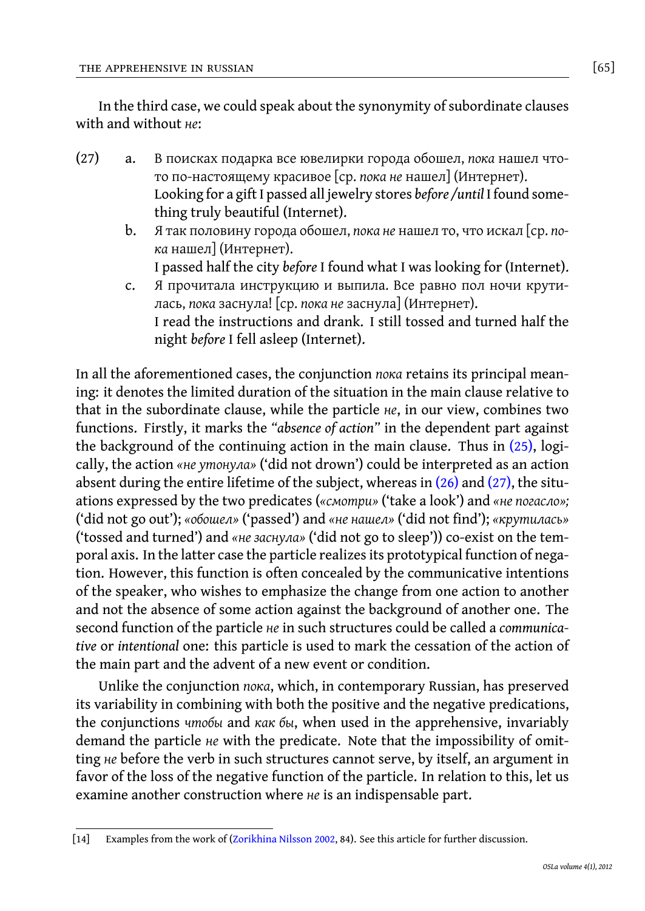<span id="page-12-0"></span>In the third case, we could speak about the synonymity of subordinate clauses with and without *не*:

- (27) a. В поисках подарка все ювелирки города обошел, *пока* нашел чтото по-настоящему красивое [ср. *пока не* нашел] (Интернет). Looking for a gift I passed all jewelry stores *before /until* I found something truly beautiful (Internet).
	- b. Я так половину города обошел, *пока не* нашел то, что искал [ср. *пока* нашел] (Интернет).

I passed half the city *before* I found what I was looking for (Internet).

c. Я прочитала инструкцию и выпила. Все равно пол но[чи к](#page-11-2)рутилась, *пока* заснула! [ср. *пока не* заснула] (Интернет). I read the instructions and drank. I still toss[ed an](#page-11-3)d tu[rned](#page-12-0) half the night *before* I fell asleep (Internet).

In all the aforementioned cases, the conjunction *пока* retains its principal meaning: it denotes the limited duration of the situation in the main clause relative to that in the subordinate clause, while the particle *не*, in our view, combines two functions. Firstly, it marks the *"absence of action"* in the dependent part against the background of the continuing action in the main clause. Thus in (25), logically, the action *«не утонула»* ('did not drown') could be interpreted as an action absent during the entire lifetime of the subject, whereas in  $(26)$  and  $(27)$ , the situations expressed by the two predicates (*«смотри»* ('take a look') and *«не погасло»;* ('did not go out'); *«обошел»* ('passed') and *«не нашел»* ('did not find'); *«крутилась»* ('tossed and turned') and *«не заснула»* ('did not go to sleep')) co-exist on the temporal axis. In the latter case the particle realizes its prototypical function of negation. However, this function is often concealed by the communicative intentions of the speaker, who wishes to emphasize the change from one action to another and not the absence of some action against the background of another one. The second function of the particle *не* in such structures could be called a *communicative* or *intentional* one: this particle is used to mark the cessation of the action of the main part and the advent of a new event or condition.

Unlike the conjunction *пока*[, which, in](#page-17-6) contemporary Russian, has preserved its variability in combining with both the positive and the negative predications, the conjunctions *чтобы* and *как бы*, when used in the apprehensive, invariably demand the particle *не* with the predicate. Note that the impossibility of omitting *не* before the verb in such structures cannot serve, by itself, an argument in favor of the loss of the negative function of the particle. In relation to this, let us examine another construction where *не* is an indispensable part.

<sup>[14]</sup> Examples from the work of (Zorikhina Nilsson 2002, 84). See this article for further discussion.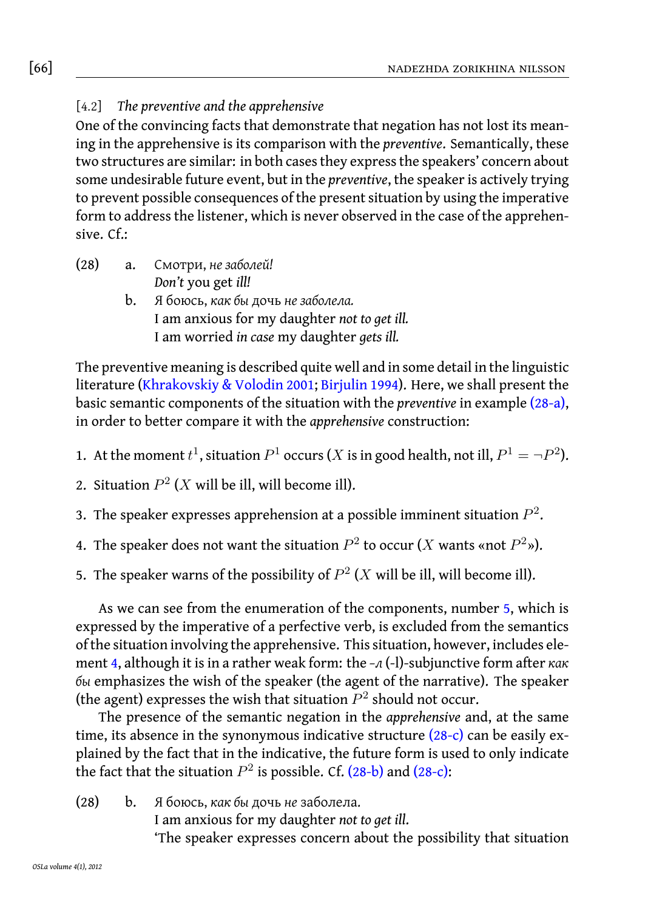# [66] nadezhda zorikhina nilsson

[4.2] *The preventive and the apprehensive*

One of the convincing facts that demonstrate that negation has not lost its meaning in the apprehensive is its comparison with the *preventive*. Semantically, these two structures are similar: in both cases they express the speakers' concern about some undesirable future event, but in the *preventive*, the speaker is actively trying to prevent possible consequences of the present situation by using the imperative form to address the listener, which is never observed in the case of the apprehensive. Cf.:

- <span id="page-13-2"></span>(28) a. Смотри, *не заболей! Don't* you get *ill!*
	- b. Я боюсь, *как бы* дочь *не заболела.* I am anxious for my daughter *not to get ill.* I am worried *in case* my daughter *gets ill.*

<span id="page-13-4"></span><span id="page-13-3"></span><span id="page-13-1"></span>The preventive meaning is described quite well and in some detail in the linguistic literature (Khrakovskiy & Volodin 2001; Birjulin 1994). Here, we shall present the basic semantic components of the situation with the *preventive* in example (28-a), in order to better compare it with the *apprehensive* construction:

- <span id="page-13-0"></span>1. At the moment  $t^1$ , situation  $P^1$  $P^1$  occurs (*X* is in good health, not ill,  $P^1 = \neg P^2$ ).
- 2. Situation  $P^2$  (*X* will be ill, will become ill).
- 3. Th[e](#page-13-1) speaker expresses apprehension at a possible imminent situation  $P^2.$
- 4. The speaker does not want the situation  $P^2$  to occur (*X* wants «not  $P^2$ »).
- 5. The speaker warns of the possibility of  $P^2$  (*X* will be il[l, will](#page-13-0) become ill).

As we can see from the enumeration of the components, number 5, which is expressed by the imperative of a perfective [verb, is](#page-13-0) exc[luded](#page-13-0) from the semantics of the situation involving the apprehensive. This situation, however, includes element 4, although it is in a rather weak form: the *–л* (-l)-subjunctive form after *как бы* emphasizes the wish of the speaker (the agent of the narrative). The speaker (the agent) expresses the wish that situation  $P^2$  should not occur.

The presence of the semantic negation in the *apprehensive* and, at the same time, its absence in the synonymous indicative structure  $(28-c)$  can be easily explained by the fact that in the indicative, the future form is used to only indicate the fact that the situation  $P^2$  is possible. Cf. (28-b) and (28-c):

(28) b. Я боюсь, *как бы* дочь *не* заболела.

I am anxious for my daughter *not to get ill*.

'The speaker expresses concern about the possibility that situation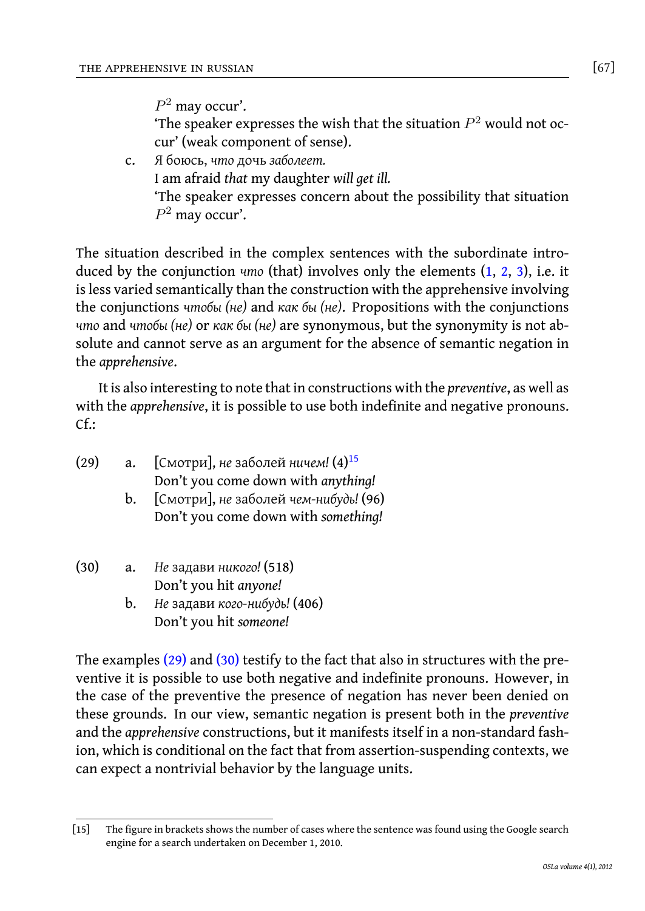*P* <sup>2</sup> may occur'.

'The speaker expresses the [w](#page-13-2)ish that the situation  $P<sup>2</sup>$  w[ou](#page-13-3)l[d](#page-13-4) not occur' (weak component of sense).

c. Я боюсь, *что* дочь *заболеет.* I am afraid *that* my daughter *will get ill.* 'The speaker expresses concern about the possibility that situation *P* <sup>2</sup> may occur'.

<span id="page-14-1"></span>The situation described in the complex sentences with the subordinate introduced by the conjunction *что* (that) involves only the elements (1, 2, 3), i.e. it is less varied semantically than the construction with the apprehensive involving the conjunctions *чтобы (не)* and *как бы (не)*. [P](#page-14-0)ropositions with the conjunctions *что* and *чтобы (не)* or *как бы (не)* are synonymous, but the synonymity is not absolute and cannot serve as an argument for the absence of semantic negation in the *apprehensive*.

<span id="page-14-2"></span>It is also interesting to note that in constructions with the *preventive*, as well as with the *apprehensive*, it is possible to use both indefinite and negative pronouns.  $Cf$ :

- (29) a. [Смотри], *не* заболей *ничем!* (4)<sup>15</sup> Don't you come down with *anything!*
	- b. [Смотри], *не* заболей *чем-нибудь!* (96) [Don't](#page-14-1) you [com](#page-14-2)e down with *something!*
- (30) a. *Не* задави *никого!* (518) Don't you hit *anyone!*
	- b. *Не* задави *кого-нибудь!* (406) Don't you hit *someone!*

<span id="page-14-0"></span>The examples (29) and (30) testify to the fact that also in structures with the preventive it is possible to use both negative and indefinite pronouns. However, in the case of the preventive the presence of negation has never been denied on these grounds. In our view, semantic negation is present both in the *preventive* and the *apprehensive* constructions, but it manifests itself in a non-standard fashion, which is conditional on the fact that from assertion-suspending contexts, we can expect a nontrivial behavior by the language units.

<sup>[15]</sup> The figure in brackets shows the number of cases where the sentence was found using the Google search engine for a search undertaken on December 1, 2010.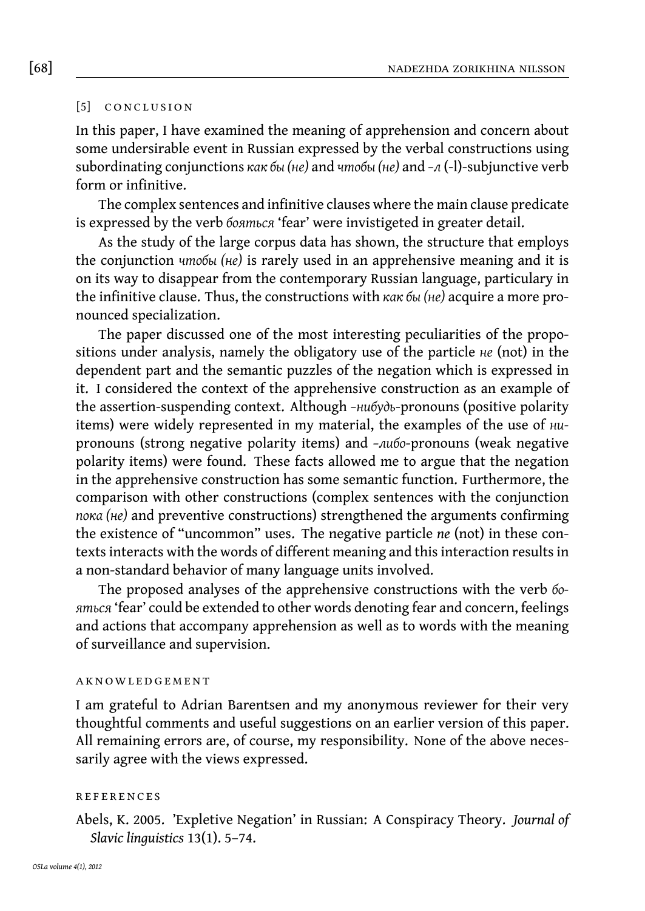#### [5] CONCLUSION

In this paper, I have examined the meaning of apprehension and concern about some undersirable event in Russian expressed by the verbal constructions using subordinating conjunctions *как бы (не)* and *чтобы (не)* and *–л* (-l)-subjunctive verb form or infinitive.

The complex sentences and infinitive clauses where the main clause predicate is expressed by the verb *бояться* 'fear' were invistigeted in greater detail.

As the study of the large corpus data has shown, the structure that employs the conjunction *чтобы (не)* is rarely used in an apprehensive meaning and it is on its way to disappear from the contemporary Russian language, particulary in the infinitive clause. Thus, the constructions with *как бы (не)* acquire a more pronounced specialization.

The paper discussed one of the most interesting peculiarities of the propositions under analysis, namely the obligatory use of the particle *не* (not) in the dependent part and the semantic puzzles of the negation which is expressed in it. I considered the context of the apprehensive construction as an example of the assertion-suspending context. Although *–нибудь*-pronouns (positive polarity items) were widely represented in my material, the examples of the use of *ни*pronouns (strong negative polarity items) and *–либо*-pronouns (weak negative polarity items) were found. These facts allowed me to argue that the negation in the apprehensive construction has some semantic function. Furthermore, the comparison with other constructions (complex sentences with the conjunction *пока (не)* and preventive constructions) strengthened the arguments confirming the existence of "uncommon" uses. The negative particle *ne* (not) in these contexts interacts with the words of different meaning and this interaction results in a non-standard behavior of many language units involved.

The proposed analyses of the apprehensive constructions with the verb *бояться* 'fear' could be extended to other words denoting fear and concern, feelings and actions that accompany apprehension as well as to words with the meaning of surveillance and supervision.

#### **AKNOWLEDGEMENT**

I am grateful to Adrian Barentsen and my anonymous reviewer for their very thoughtful comments and useful suggestions on an earlier version of this paper. All remaining errors are, of course, my responsibility. None of the above necessarily agree with the views expressed.

#### **REFERENCES**

<span id="page-15-0"></span>Abels, K. 2005. 'Expletive Negation' in Russian: A Conspiracy Theory. *Journal of Slavic linguistics* 13(1). 5–74.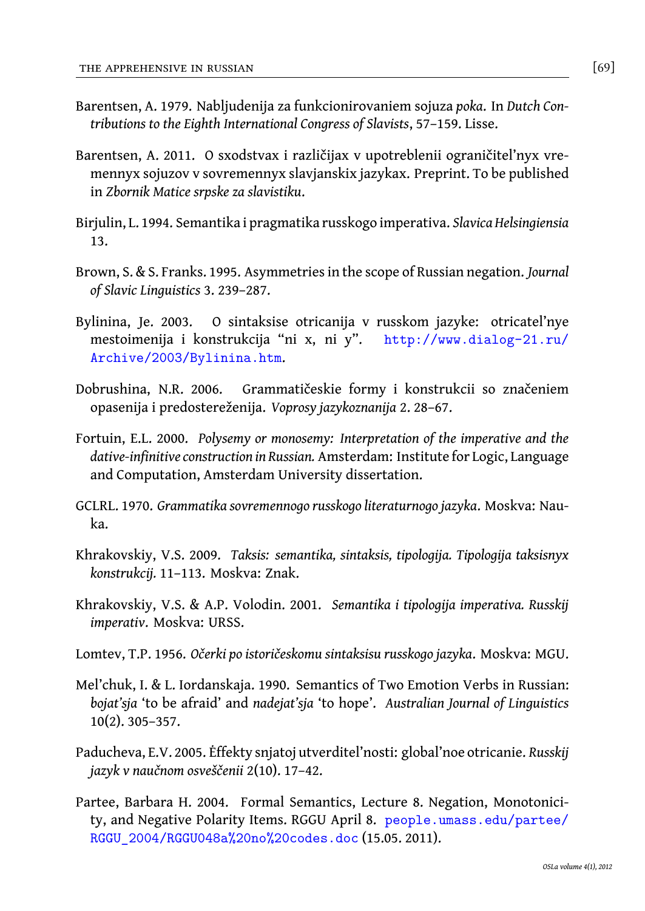- <span id="page-16-6"></span>Barentsen, A. 1979. Nabljudenija za funkcionirovaniem sojuza *poka*. In *Dutch Contributions to the Eighth International Congress of Slavists*, 57–159. Lisse.
- <span id="page-16-7"></span>Barentsen, A. 2011. O sxodstvax i različijax v upotreblenii ograničitel'nyx vremennyx sojuzov v sovremennyx slavjanskix jaz[ykax. Preprint. To be published](http://www.dialog-21.ru/Archive/2003/Bylinina.htm) in *Zbornik Matice srpske za slavistiku*.
- <span id="page-16-0"></span>Bi[rjulin, L. 1994. Semantika i pragm](http://www.dialog-21.ru/Archive/2003/Bylinina.htm)atika russkogo imperativa. *Slavica Helsingiensia* 13.
- <span id="page-16-4"></span>Brown, S. & S. Franks. 1995. Asymmetries in the scope of Russian negation. *Journal of Slavic Linguistics* 3. 239–287.
- <span id="page-16-3"></span>Bylinina, Je. 2003. O sintaksise otricanija v russkom jazyke: otricatel'nye mestoimenija i konstrukcija "ni x, ni y". http://www.dialog-21.ru/ Archive/2003/Bylinina.htm.
- <span id="page-16-2"></span>Dobrushina, N.R. 2006. Grammatičeskie formy i konstrukcii so značeniem opasenija i predostereženija. *Voprosy jazykoznanija* 2. 28–67.
- Fortuin, E.L. 2000. *Polysemy or monosemy: Interpretation of the imperative and the dative-infinitive construction in Russian.* Amsterdam: Institute for Logic, Language and Computation, Amsterdam University dissertation.
- <span id="page-16-5"></span><span id="page-16-1"></span>GCLRL. 1970. *Grammatika sovremennogo russkogo literaturnogo jazyka*. Moskva: Nauka.
- Khrakovskiy, V.S. 2009. *Taksis: semantika, sintaksis, tipologija. Tipologija taksisnyx konstrukcij.* 11–113. Moskva: Znak.
- <span id="page-16-9"></span>Khrakovskiy, V.S. & A.P. Volodin. 2001. *Semantika i tipologija imperativa. Russkij imperativ*. Moskva: URSS.
- <span id="page-16-8"></span>Lomtev, T.P. 1956. *Očerki po istoričeskomu sintaksisu russkogo jazyka*. Moskva: MGU.
- M[el'chuk, I. & L. Iordanskaja. 1990. Semantics](people.umass.edu/partee/RGGU_2004/RGGU048a%20no%20codes.doc) of [Two Emotion Verbs in Russian:](people.umass.edu/partee/RGGU_2004/RGGU048a%20no%20codes.doc) *bojat'sja* 'to be afraid' and *nadejat'sja* 'to hope'. *Australian Journal of Linguistics* 10(2). 305–357.
- Paducheva, E.V. 2005. Ėffekty snjatoj utverditel'nosti: global'noe otricanie. *Russkij jazyk v naučnom osveščenii* 2(10). 17–42.
- Partee, Barbara H. 2004. Formal Semantics, Lecture 8. Negation, Monotonicity, and Negative Polarity Items. RGGU April 8. people.umass.edu/partee/ RGGU\_2004/RGGU048a%20no%20codes.doc (15.05. 2011).